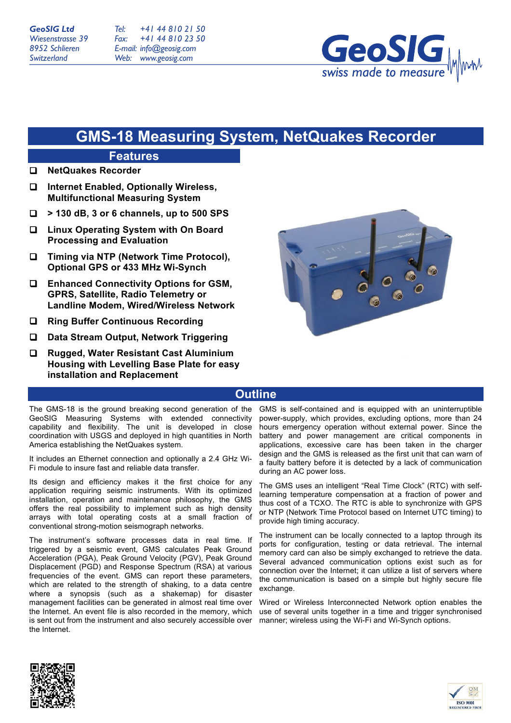*Tel: Fax: E-mail: info@geosig.com Web: www.geosig.com +41 44 810 21 50 +41 44 810 23 50*



# **GMS-18 Measuring System, NetQuakes Recorder**

## **Features** ! **NetQuakes Recorder**

- ! **Internet Enabled, Optionally Wireless, Multifunctional Measuring System**
- ! **> 130 dB, 3 or 6 channels, up to 500 SPS**
- ! **Linux Operating System with On Board Processing and Evaluation**
- ! **Timing via NTP (Network Time Protocol), Optional GPS or 433 MHz Wi-Synch**
- ! **Enhanced Connectivity Options for GSM, GPRS, Satellite, Radio Telemetry or Landline Modem, Wired/Wireless Network**
- ! **Ring Buffer Continuous Recording**
- ! **Data Stream Output, Network Triggering**
- ! **Rugged, Water Resistant Cast Aluminium Housing with Levelling Base Plate for easy installation and Replacement**



# **Outline**

The GMS-18 is the ground breaking second generation of the GeoSIG Measuring Systems with extended connectivity capability and flexibility. The unit is developed in close coordination with USGS and deployed in high quantities in North America establishing the NetQuakes system.

It includes an Ethernet connection and optionally a 2.4 GHz Wi-Fi module to insure fast and reliable data transfer.

Its design and efficiency makes it the first choice for any application requiring seismic instruments. With its optimized installation, operation and maintenance philosophy, the GMS offers the real possibility to implement such as high density arrays with total operating costs at a small fraction of conventional strong-motion seismograph networks.

The instrument's software processes data in real time. If triggered by a seismic event, GMS calculates Peak Ground Acceleration (PGA), Peak Ground Velocity (PGV), Peak Ground Displacement (PGD) and Response Spectrum (RSA) at various frequencies of the event. GMS can report these parameters, which are related to the strength of shaking, to a data centre where a synopsis (such as a shakemap) for disaster management facilities can be generated in almost real time over the Internet. An event file is also recorded in the memory, which is sent out from the instrument and also securely accessible over the Internet.

GMS is self-contained and is equipped with an uninterruptible power-supply, which provides, excluding options, more than 24 hours emergency operation without external power. Since the battery and power management are critical components in applications, excessive care has been taken in the charger design and the GMS is released as the first unit that can warn of a faulty battery before it is detected by a lack of communication during an AC power loss.

The GMS uses an intelligent "Real Time Clock" (RTC) with selflearning temperature compensation at a fraction of power and thus cost of a TCXO. The RTC is able to synchronize with GPS or NTP (Network Time Protocol based on Internet UTC timing) to provide high timing accuracy.

The instrument can be locally connected to a laptop through its ports for configuration, testing or data retrieval. The internal memory card can also be simply exchanged to retrieve the data. Several advanced communication options exist such as for connection over the Internet; it can utilize a list of servers where the communication is based on a simple but highly secure file exchange.

Wired or Wireless Interconnected Network option enables the use of several units together in a time and trigger synchronised manner; wireless using the Wi-Fi and Wi-Synch options.